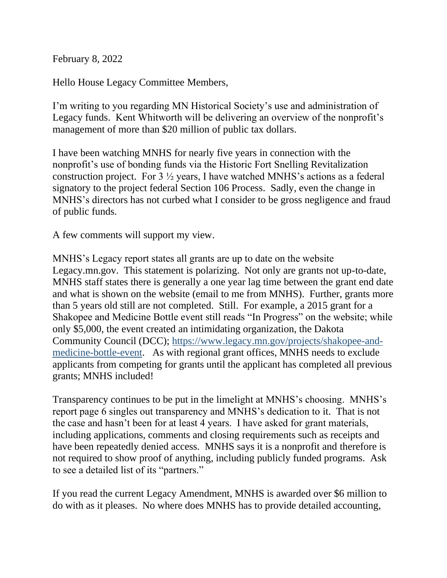February 8, 2022

Hello House Legacy Committee Members,

I'm writing to you regarding MN Historical Society's use and administration of Legacy funds. Kent Whitworth will be delivering an overview of the nonprofit's management of more than \$20 million of public tax dollars.

I have been watching MNHS for nearly five years in connection with the nonprofit's use of bonding funds via the Historic Fort Snelling Revitalization construction project. For 3 ½ years, I have watched MNHS's actions as a federal signatory to the project federal Section 106 Process. Sadly, even the change in MNHS's directors has not curbed what I consider to be gross negligence and fraud of public funds.

A few comments will support my view.

MNHS's Legacy report states all grants are up to date on the website Legacy.mn.gov. This statement is polarizing. Not only are grants not up-to-date, MNHS staff states there is generally a one year lag time between the grant end date and what is shown on the website (email to me from MNHS). Further, grants more than 5 years old still are not completed. Still. For example, a 2015 grant for a Shakopee and Medicine Bottle event still reads "In Progress" on the website; while only \$5,000, the event created an intimidating organization, the Dakota Community Council (DCC); [https://www.legacy.mn.gov/projects/shakopee-and](https://www.legacy.mn.gov/projects/shakopee-and-medicine-bottle-event)[medicine-bottle-event.](https://www.legacy.mn.gov/projects/shakopee-and-medicine-bottle-event) As with regional grant offices, MNHS needs to exclude applicants from competing for grants until the applicant has completed all previous grants; MNHS included!

Transparency continues to be put in the limelight at MNHS's choosing. MNHS's report page 6 singles out transparency and MNHS's dedication to it. That is not the case and hasn't been for at least 4 years. I have asked for grant materials, including applications, comments and closing requirements such as receipts and have been repeatedly denied access. MNHS says it is a nonprofit and therefore is not required to show proof of anything, including publicly funded programs. Ask to see a detailed list of its "partners."

If you read the current Legacy Amendment, MNHS is awarded over \$6 million to do with as it pleases. No where does MNHS has to provide detailed accounting,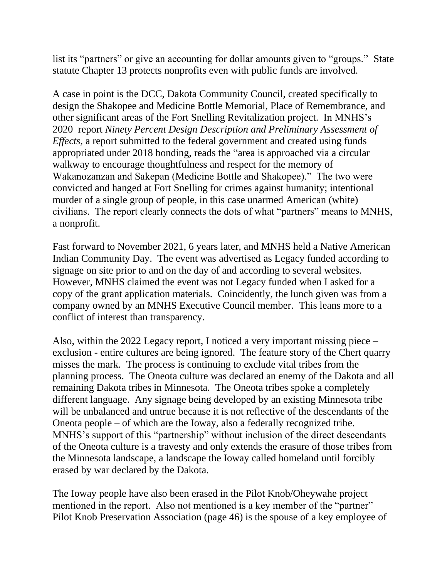list its "partners" or give an accounting for dollar amounts given to "groups." State statute Chapter 13 protects nonprofits even with public funds are involved.

A case in point is the DCC, Dakota Community Council, created specifically to design the Shakopee and Medicine Bottle Memorial, Place of Remembrance, and other significant areas of the Fort Snelling Revitalization project. In MNHS's 2020 report *Ninety Percent Design Description and Preliminary Assessment of Effects*, a report submitted to the federal government and created using funds appropriated under 2018 bonding, reads the "area is approached via a circular walkway to encourage thoughtfulness and respect for the memory of Wakanozanzan and Sakepan (Medicine Bottle and Shakopee)." The two were convicted and hanged at Fort Snelling for crimes against humanity; intentional murder of a single group of people, in this case unarmed American (white) civilians. The report clearly connects the dots of what "partners" means to MNHS, a nonprofit.

Fast forward to November 2021, 6 years later, and MNHS held a Native American Indian Community Day. The event was advertised as Legacy funded according to signage on site prior to and on the day of and according to several websites. However, MNHS claimed the event was not Legacy funded when I asked for a copy of the grant application materials. Coincidently, the lunch given was from a company owned by an MNHS Executive Council member. This leans more to a conflict of interest than transparency.

Also, within the 2022 Legacy report, I noticed a very important missing piece – exclusion - entire cultures are being ignored. The feature story of the Chert quarry misses the mark. The process is continuing to exclude vital tribes from the planning process. The Oneota culture was declared an enemy of the Dakota and all remaining Dakota tribes in Minnesota. The Oneota tribes spoke a completely different language. Any signage being developed by an existing Minnesota tribe will be unbalanced and untrue because it is not reflective of the descendants of the Oneota people – of which are the Ioway, also a federally recognized tribe. MNHS's support of this "partnership" without inclusion of the direct descendants of the Oneota culture is a travesty and only extends the erasure of those tribes from the Minnesota landscape, a landscape the Ioway called homeland until forcibly erased by war declared by the Dakota.

The Ioway people have also been erased in the Pilot Knob/Oheywahe project mentioned in the report. Also not mentioned is a key member of the "partner" Pilot Knob Preservation Association (page 46) is the spouse of a key employee of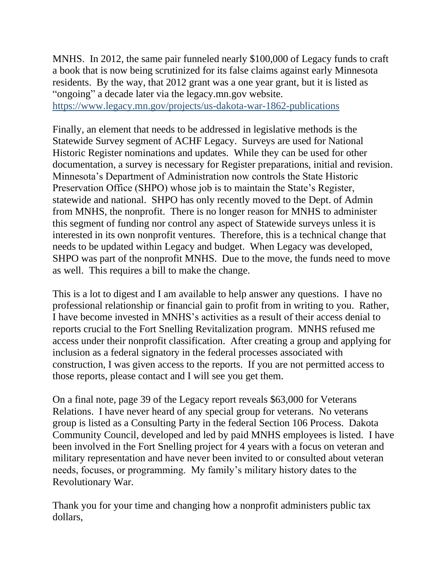MNHS. In 2012, the same pair funneled nearly \$100,000 of Legacy funds to craft a book that is now being scrutinized for its false claims against early Minnesota residents. By the way, that 2012 grant was a one year grant, but it is listed as "ongoing" a decade later via the legacy.mn.gov website. <https://www.legacy.mn.gov/projects/us-dakota-war-1862-publications>

Finally, an element that needs to be addressed in legislative methods is the Statewide Survey segment of ACHF Legacy. Surveys are used for National Historic Register nominations and updates. While they can be used for other documentation, a survey is necessary for Register preparations, initial and revision. Minnesota's Department of Administration now controls the State Historic Preservation Office (SHPO) whose job is to maintain the State's Register, statewide and national. SHPO has only recently moved to the Dept. of Admin from MNHS, the nonprofit. There is no longer reason for MNHS to administer this segment of funding nor control any aspect of Statewide surveys unless it is interested in its own nonprofit ventures. Therefore, this is a technical change that needs to be updated within Legacy and budget. When Legacy was developed, SHPO was part of the nonprofit MNHS. Due to the move, the funds need to move as well. This requires a bill to make the change.

This is a lot to digest and I am available to help answer any questions. I have no professional relationship or financial gain to profit from in writing to you. Rather, I have become invested in MNHS's activities as a result of their access denial to reports crucial to the Fort Snelling Revitalization program. MNHS refused me access under their nonprofit classification. After creating a group and applying for inclusion as a federal signatory in the federal processes associated with construction, I was given access to the reports. If you are not permitted access to those reports, please contact and I will see you get them.

On a final note, page 39 of the Legacy report reveals \$63,000 for Veterans Relations. I have never heard of any special group for veterans. No veterans group is listed as a Consulting Party in the federal Section 106 Process. Dakota Community Council, developed and led by paid MNHS employees is listed. I have been involved in the Fort Snelling project for 4 years with a focus on veteran and military representation and have never been invited to or consulted about veteran needs, focuses, or programming. My family's military history dates to the Revolutionary War.

Thank you for your time and changing how a nonprofit administers public tax dollars,